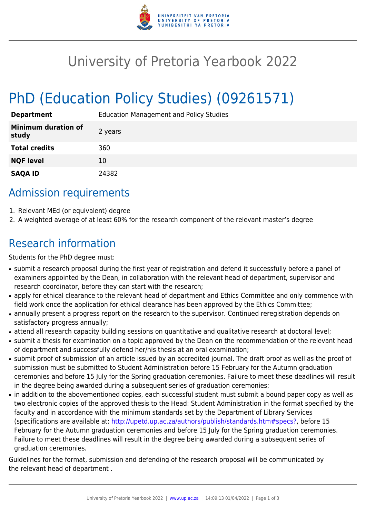

## University of Pretoria Yearbook 2022

# PhD (Education Policy Studies) (09261571)

| <b>Department</b>                   | <b>Education Management and Policy Studies</b> |
|-------------------------------------|------------------------------------------------|
| <b>Minimum duration of</b><br>study | 2 years                                        |
| <b>Total credits</b>                | 360                                            |
| <b>NQF level</b>                    | 10                                             |
| <b>SAQA ID</b>                      | 24382                                          |

## Admission requirements

- 1. Relevant MEd (or equivalent) degree
- 2. A weighted average of at least 60% for the research component of the relevant master's degree

## Research information

Students for the PhD degree must:

- submit a research proposal during the first year of registration and defend it successfully before a panel of examiners appointed by the Dean, in collaboration with the relevant head of department, supervisor and research coordinator, before they can start with the research;
- apply for ethical clearance to the relevant head of department and Ethics Committee and only commence with field work once the application for ethical clearance has been approved by the Ethics Committee;
- annually present a progress report on the research to the supervisor. Continued reregistration depends on satisfactory progress annually;
- attend all research capacity building sessions on quantitative and qualitative research at doctoral level;
- submit a thesis for examination on a topic approved by the Dean on the recommendation of the relevant head of department and successfully defend her/his thesis at an oral examination;
- submit proof of submission of an article issued by an accredited journal. The draft proof as well as the proof of submission must be submitted to Student Administration before 15 February for the Autumn graduation ceremonies and before 15 July for the Spring graduation ceremonies. Failure to meet these deadlines will result in the degree being awarded during a subsequent series of graduation ceremonies;
- in addition to the abovementioned copies, each successful student must submit a bound paper copy as well as two electronic copies of the approved thesis to the Head: Student Administration in the format specified by the faculty and in accordance with the minimum standards set by the Department of Library Services (specifications are available at: [http://upetd.up.ac.za/authors/publish/standards.htm#specs?,](http://upetd.up.ac.za/authors/publish/standards.htm#specs) before 15 February for the Autumn graduation ceremonies and before 15 July for the Spring graduation ceremonies. Failure to meet these deadlines will result in the degree being awarded during a subsequent series of graduation ceremonies.

Guidelines for the format, submission and defending of the research proposal will be communicated by the relevant head of department .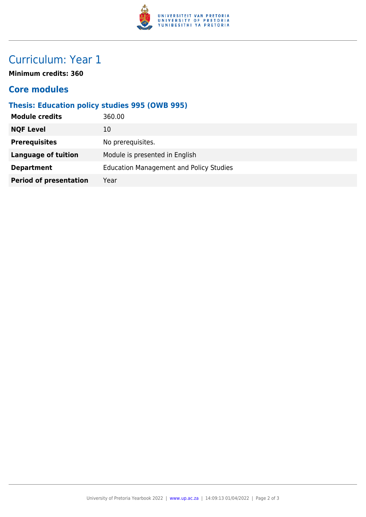

## Curriculum: Year 1

**Minimum credits: 360**

#### **Core modules**

### **Thesis: Education policy studies 995 (OWB 995)**

| 360.00                                         |
|------------------------------------------------|
| 10                                             |
| No prerequisites.                              |
| Module is presented in English                 |
| <b>Education Management and Policy Studies</b> |
| Year                                           |
|                                                |